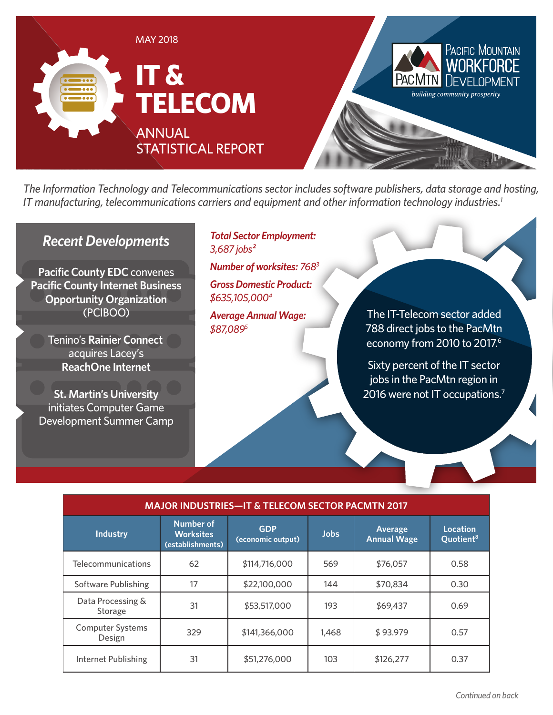

*The Information Technology and Telecommunications sector includes software publishers, data storage and hosting, IT manufacturing, telecommunications carriers and equipment and other information technology industries.1*

## *Recent Developments*

**Pacific County EDC** convenes **Pacific County Internet Business Opportunity Organization** (PCIBOO)

> Tenino's **Rainier Connect** acquires Lacey's **ReachOne Internet**

**St. Martin's University**  initiates Computer Game Development Summer Camp

### *Total Sector Employment: 3,687 jobs²*

*Number of worksites: 7683 Gross Domestic Product:* 

*\$635,105,0004*

*Average Annual Wage: \$87,0895*

The IT-Telecom sector added 788 direct jobs to the PacMtn economy from 2010 to 2017.<sup>6</sup>

Sixty percent of the IT sector jobs in the PacMtn region in 2016 were not IT occupations.<sup>7</sup>

| <b>MAJOR INDUSTRIES-IT &amp; TELECOM SECTOR PACMTN 2017</b> |                                                          |                                 |             |                               |                                          |  |
|-------------------------------------------------------------|----------------------------------------------------------|---------------------------------|-------------|-------------------------------|------------------------------------------|--|
| <b>Industry</b>                                             | <b>Number of</b><br><b>Worksites</b><br>(establishments) | <b>GDP</b><br>(economic output) | <b>Jobs</b> | Average<br><b>Annual Wage</b> | <b>Location</b><br>Quotient <sup>8</sup> |  |
| Telecommunications                                          | 62                                                       | \$114,716,000                   | 569         | \$76,057                      | 0.58                                     |  |
| Software Publishing                                         | 17                                                       | \$22,100,000                    | 144         | \$70,834                      | 0.30                                     |  |
| Data Processing &<br>Storage                                | 31                                                       | \$53,517,000                    | 193         | \$69,437                      | 0.69                                     |  |
| <b>Computer Systems</b><br>Design                           | 329                                                      | \$141,366,000                   | 1,468       | \$93.979                      | 0.57                                     |  |
| Internet Publishing                                         | 31                                                       | \$51,276,000                    | 103         | \$126,277                     | 0.37                                     |  |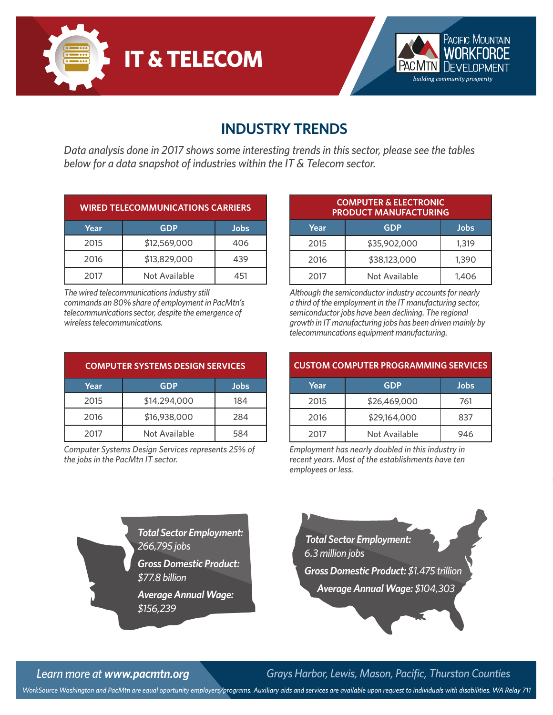



## **INDUSTRY TRENDS**

*Data analysis done in 2017 shows some interesting trends in this sector, please see the tables below for a data snapshot of industries within the IT & Telecom sector.*

| <b>WIRED TELECOMMUNICATIONS CARRIERS</b> |               |      |  |
|------------------------------------------|---------------|------|--|
| Year                                     | <b>GDP</b>    | Jobs |  |
| 2015                                     | \$12,569,000  | 406  |  |
| 2016                                     | \$13,829,000  | 439  |  |
| 2017                                     | Not Available | 451  |  |

*The wired telecommunications industry still commands an 80% share of employment in PacMtn's telecommunications sector, despite the emergence of wireless telecommunications.*

| <b>COMPUTER SYSTEMS DESIGN SERVICES</b> |               |      |  |
|-----------------------------------------|---------------|------|--|
| Year                                    | <b>GDP</b>    | Jobs |  |
| 2015                                    | \$14,294,000  | 184  |  |
| 2016                                    | \$16,938,000  | 284  |  |
| 2017                                    | Not Available | 584  |  |

*Computer Systems Design Services represents 25% of the jobs in the PacMtn IT sector.*

| <b>COMPUTER &amp; ELECTRONIC</b><br><b>PRODUCT MANUFACTURING</b> |               |       |  |
|------------------------------------------------------------------|---------------|-------|--|
| Year                                                             | <b>GDP</b>    | Jobs  |  |
| 2015                                                             | \$35,902,000  | 1,319 |  |
| 2016                                                             | \$38,123,000  | 1,390 |  |
| 2017                                                             | Not Available | 1,406 |  |

*Although the semiconductor industry accounts for nearly a third of the employment in the IT manufacturing sector, semiconductor jobs have been declining. The regional growth in IT manufacturing jobs has been driven mainly by telecommuncations equipment manufacturing.*

| <b>CUSTOM COMPUTER PROGRAMMING SERVICES</b> |               |      |  |
|---------------------------------------------|---------------|------|--|
| Year                                        | <b>GDP</b>    | Jobs |  |
| 2015                                        | \$26,469,000  | 761  |  |
| 2016                                        | \$29,164,000  | 837  |  |
| 2017                                        | Not Available | 946  |  |

*Employment has nearly doubled in this industry in recent years. Most of the establishments have ten employees or less.*

*Total Sector Employment: 266,795 jobs Gross Domestic Product: \$77.8 billion Average Annual Wage:* 

*\$156,239*



*Learn more at www.pacmtn.org Grays Harbor, Lewis, Mason, Pacific, Thurston Counties*

*WorkSource Washington and PacMtn are equal oportunity employers/programs. Auxiliary aids and services are available upon request to individuals with disabilities. WA Relay 711*